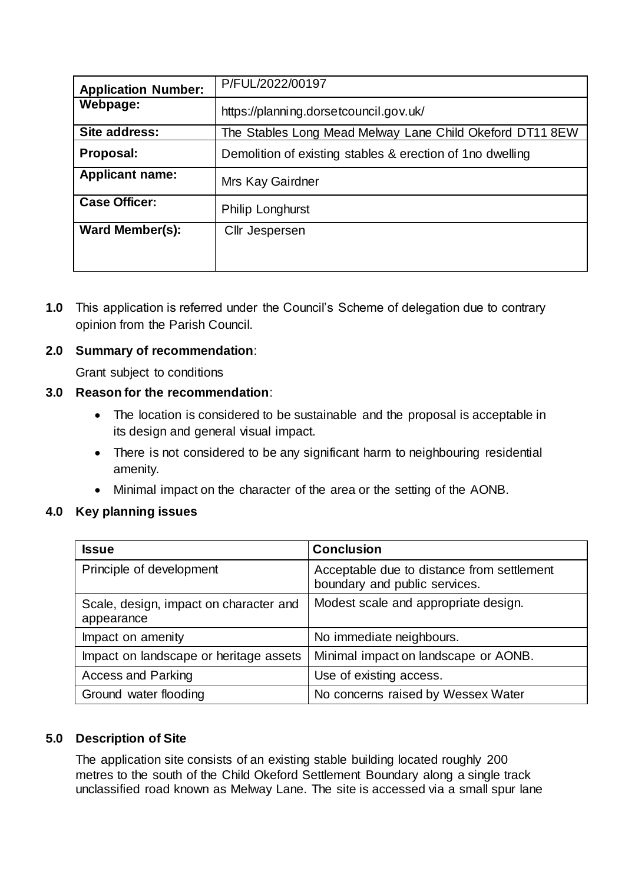| <b>Application Number:</b> | P/FUL/2022/00197                                          |
|----------------------------|-----------------------------------------------------------|
| Webpage:                   | https://planning.dorsetcouncil.gov.uk/                    |
| Site address:              | The Stables Long Mead Melway Lane Child Okeford DT11 8EW  |
| Proposal:                  | Demolition of existing stables & erection of 1no dwelling |
| <b>Applicant name:</b>     | Mrs Kay Gairdner                                          |
| <b>Case Officer:</b>       | <b>Philip Longhurst</b>                                   |
| <b>Ward Member(s):</b>     | Cllr Jespersen                                            |
|                            |                                                           |

**1.0** This application is referred under the Council's Scheme of delegation due to contrary opinion from the Parish Council.

## **2.0 Summary of recommendation**:

Grant subject to conditions

## **3.0 Reason for the recommendation**:

- The location is considered to be sustainable and the proposal is acceptable in its design and general visual impact.
- There is not considered to be any significant harm to neighbouring residential amenity.
- Minimal impact on the character of the area or the setting of the AONB.

#### **4.0 Key planning issues**

| <b>Issue</b>                                         | <b>Conclusion</b>                                                           |
|------------------------------------------------------|-----------------------------------------------------------------------------|
| Principle of development                             | Acceptable due to distance from settlement<br>boundary and public services. |
| Scale, design, impact on character and<br>appearance | Modest scale and appropriate design.                                        |
| Impact on amenity                                    | No immediate neighbours.                                                    |
| Impact on landscape or heritage assets               | Minimal impact on landscape or AONB.                                        |
| <b>Access and Parking</b>                            | Use of existing access.                                                     |
| Ground water flooding                                | No concerns raised by Wessex Water                                          |

#### **5.0 Description of Site**

The application site consists of an existing stable building located roughly 200 metres to the south of the Child Okeford Settlement Boundary along a single track unclassified road known as Melway Lane. The site is accessed via a small spur lane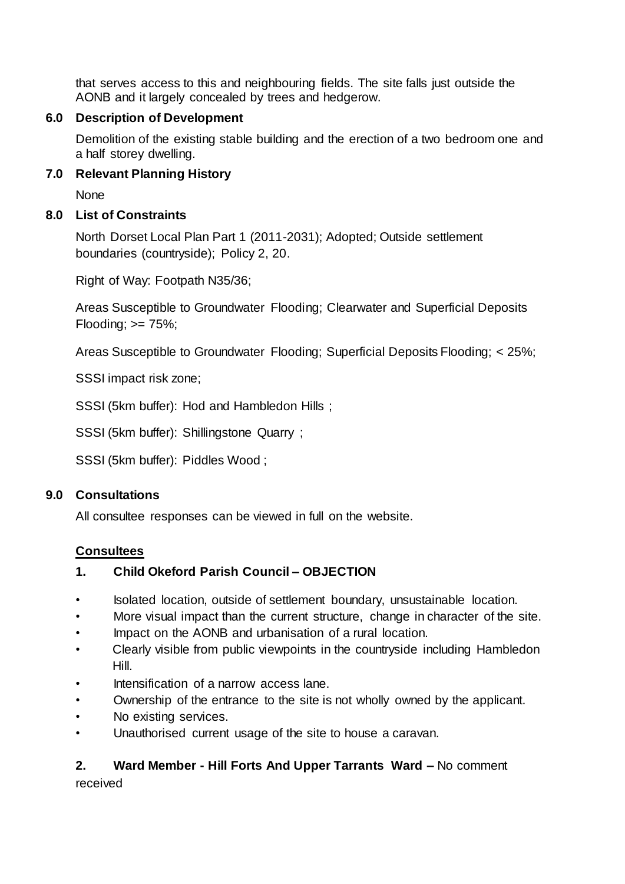that serves access to this and neighbouring fields. The site falls just outside the AONB and it largely concealed by trees and hedgerow.

# **6.0 Description of Development**

Demolition of the existing stable building and the erection of a two bedroom one and a half storey dwelling.

# **7.0 Relevant Planning History**

None

# **8.0 List of Constraints**

North Dorset Local Plan Part 1 (2011-2031); Adopted; Outside settlement boundaries (countryside); Policy 2, 20.

Right of Way: Footpath N35/36;

Areas Susceptible to Groundwater Flooding; Clearwater and Superficial Deposits Flooding;  $>= 75\%$ ;

Areas Susceptible to Groundwater Flooding; Superficial Deposits Flooding; < 25%;

SSSI impact risk zone;

SSSI (5km buffer): Hod and Hambledon Hills ;

SSSI (5km buffer): Shillingstone Quarry ;

SSSI (5km buffer): Piddles Wood ;

# **9.0 Consultations**

All consultee responses can be viewed in full on the website.

# **Consultees**

# **1. Child Okeford Parish Council – OBJECTION**

- Isolated location, outside of settlement boundary, unsustainable location.
- More visual impact than the current structure, change in character of the site.
- Impact on the AONB and urbanisation of a rural location.
- Clearly visible from public viewpoints in the countryside including Hambledon Hill.
- Intensification of a narrow access lane.
- Ownership of the entrance to the site is not wholly owned by the applicant.
- No existing services.
- Unauthorised current usage of the site to house a caravan.

# **2. Ward Member - Hill Forts And Upper Tarrants Ward –** No comment

received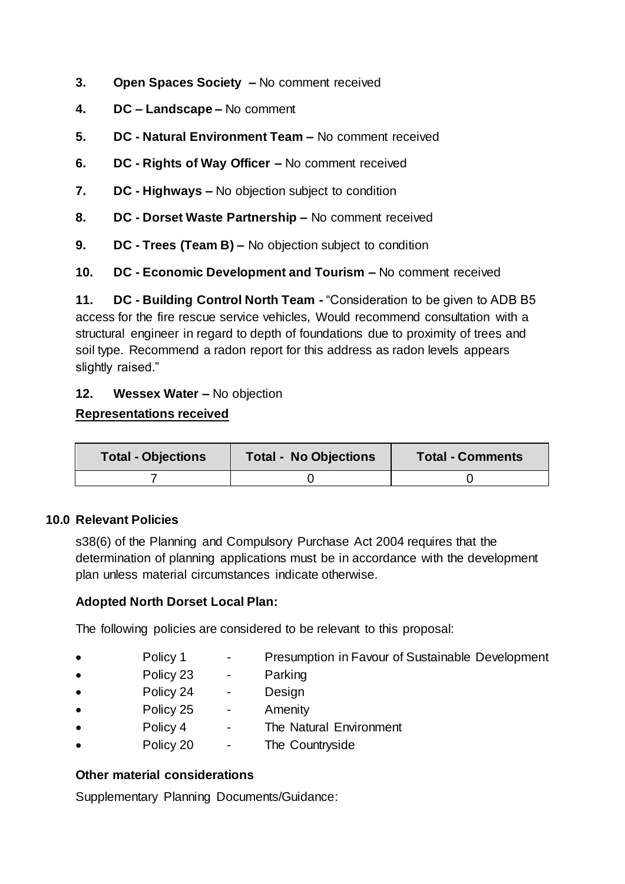- **3. Open Spaces Society –** No comment received
- **4. DC – Landscape –** No comment
- **5. DC - Natural Environment Team –** No comment received
- **6. DC - Rights of Way Officer –** No comment received
- **7. DC - Highways –** No objection subject to condition
- **8. DC - Dorset Waste Partnership –** No comment received
- **9. DC - Trees (Team B) –** No objection subject to condition
- **10. DC - Economic Development and Tourism –** No comment received

**11. DC - Building Control North Team -** "Consideration to be given to ADB B5 access for the fire rescue service vehicles, Would recommend consultation with a structural engineer in regard to depth of foundations due to proximity of trees and soil type. Recommend a radon report for this address as radon levels appears slightly raised."

#### **12. Wessex Water –** No objection

## **Representations received**

| <b>Total - Objections</b> | <b>Total - No Objections</b> | <b>Total - Comments</b> |
|---------------------------|------------------------------|-------------------------|
|                           |                              |                         |

#### **10.0 Relevant Policies**

s38(6) of the Planning and Compulsory Purchase Act 2004 requires that the determination of planning applications must be in accordance with the development plan unless material circumstances indicate otherwise.

# **Adopted North Dorset Local Plan:**

The following policies are considered to be relevant to this proposal:

- Policy 1 Presumption in Favour of Sustainable Development
- Policy 23 Parking
- Policy 24 Design
- Policy 25 Amenity
- Policy 4 The Natural Environment
- Policy 20 The Countryside

#### **Other material considerations**

Supplementary Planning Documents/Guidance: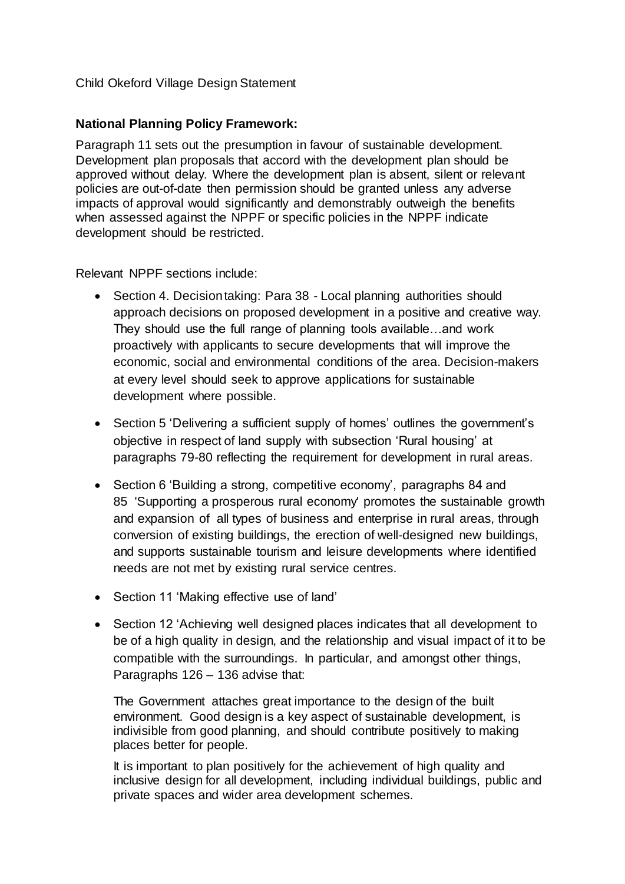#### Child Okeford Village Design Statement

#### **National Planning Policy Framework:**

Paragraph 11 sets out the presumption in favour of sustainable development. Development plan proposals that accord with the development plan should be approved without delay. Where the development plan is absent, silent or relevant policies are out-of-date then permission should be granted unless any adverse impacts of approval would significantly and demonstrably outweigh the benefits when assessed against the NPPF or specific policies in the NPPF indicate development should be restricted.

Relevant NPPF sections include:

- Section 4. Decision taking: Para 38 Local planning authorities should approach decisions on proposed development in a positive and creative way. They should use the full range of planning tools available…and work proactively with applicants to secure developments that will improve the economic, social and environmental conditions of the area. Decision-makers at every level should seek to approve applications for sustainable development where possible.
- Section 5 'Delivering a sufficient supply of homes' outlines the government's objective in respect of land supply with subsection 'Rural housing' at paragraphs 79-80 reflecting the requirement for development in rural areas.
- Section 6 'Building a strong, competitive economy', paragraphs 84 and 85 'Supporting a prosperous rural economy' promotes the sustainable growth and expansion of all types of business and enterprise in rural areas, through conversion of existing buildings, the erection of well-designed new buildings, and supports sustainable tourism and leisure developments where identified needs are not met by existing rural service centres.
- Section 11 'Making effective use of land'
- Section 12 'Achieving well designed places indicates that all development to be of a high quality in design, and the relationship and visual impact of it to be compatible with the surroundings. In particular, and amongst other things, Paragraphs 126 – 136 advise that:

The Government attaches great importance to the design of the built environment. Good design is a key aspect of sustainable development, is indivisible from good planning, and should contribute positively to making places better for people.

It is important to plan positively for the achievement of high quality and inclusive design for all development, including individual buildings, public and private spaces and wider area development schemes.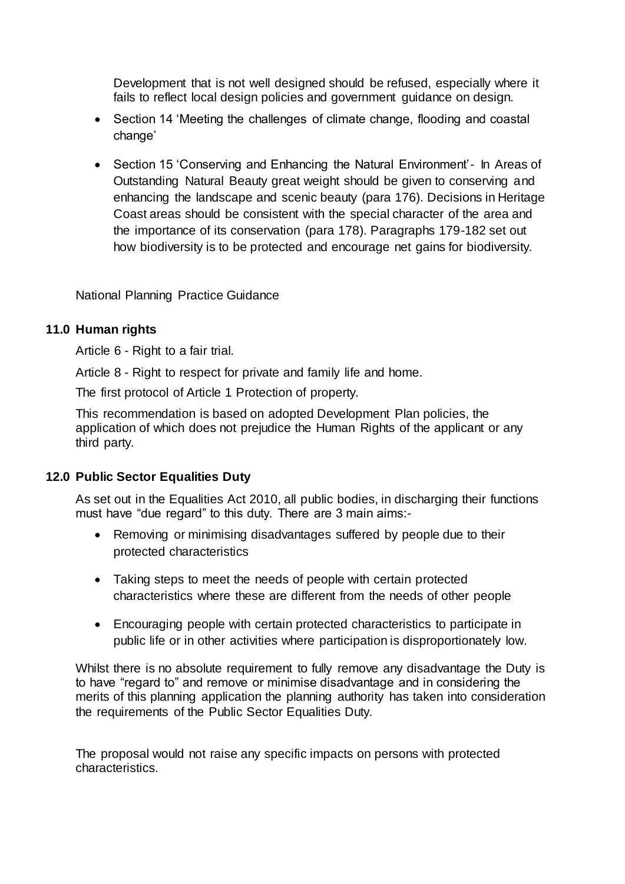Development that is not well designed should be refused, especially where it fails to reflect local design policies and government guidance on design.

- Section 14 'Meeting the challenges of climate change, flooding and coastal change'
- Section 15 'Conserving and Enhancing the Natural Environment'- In Areas of Outstanding Natural Beauty great weight should be given to conserving and enhancing the landscape and scenic beauty (para 176). Decisions in Heritage Coast areas should be consistent with the special character of the area and the importance of its conservation (para 178). Paragraphs 179-182 set out how biodiversity is to be protected and encourage net gains for biodiversity.

National Planning Practice Guidance

## **11.0 Human rights**

Article 6 - Right to a fair trial.

Article 8 - Right to respect for private and family life and home.

The first protocol of Article 1 Protection of property.

This recommendation is based on adopted Development Plan policies, the application of which does not prejudice the Human Rights of the applicant or any third party.

# **12.0 Public Sector Equalities Duty**

As set out in the Equalities Act 2010, all public bodies, in discharging their functions must have "due regard" to this duty. There are 3 main aims:-

- Removing or minimising disadvantages suffered by people due to their protected characteristics
- Taking steps to meet the needs of people with certain protected characteristics where these are different from the needs of other people
- Encouraging people with certain protected characteristics to participate in public life or in other activities where participation is disproportionately low.

Whilst there is no absolute requirement to fully remove any disadvantage the Duty is to have "regard to" and remove or minimise disadvantage and in considering the merits of this planning application the planning authority has taken into consideration the requirements of the Public Sector Equalities Duty.

The proposal would not raise any specific impacts on persons with protected characteristics.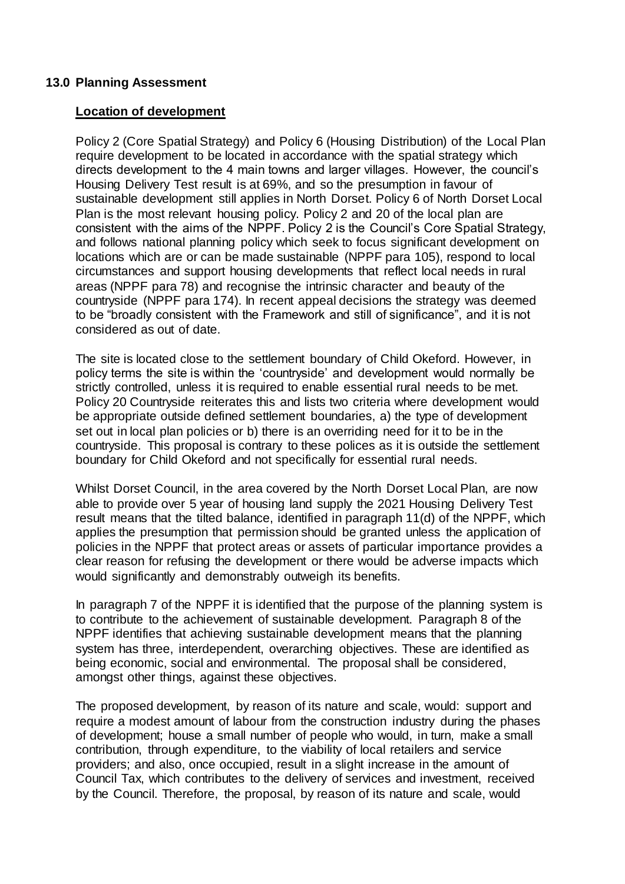#### **13.0 Planning Assessment**

#### **Location of development**

Policy 2 (Core Spatial Strategy) and Policy 6 (Housing Distribution) of the Local Plan require development to be located in accordance with the spatial strategy which directs development to the 4 main towns and larger villages. However, the council's Housing Delivery Test result is at 69%, and so the presumption in favour of sustainable development still applies in North Dorset. Policy 6 of North Dorset Local Plan is the most relevant housing policy. Policy 2 and 20 of the local plan are consistent with the aims of the NPPF. Policy 2 is the Council's Core Spatial Strategy, and follows national planning policy which seek to focus significant development on locations which are or can be made sustainable (NPPF para 105), respond to local circumstances and support housing developments that reflect local needs in rural areas (NPPF para 78) and recognise the intrinsic character and beauty of the countryside (NPPF para 174). In recent appeal decisions the strategy was deemed to be "broadly consistent with the Framework and still of significance", and it is not considered as out of date.

The site is located close to the settlement boundary of Child Okeford. However, in policy terms the site is within the 'countryside' and development would normally be strictly controlled, unless it is required to enable essential rural needs to be met. Policy 20 Countryside reiterates this and lists two criteria where development would be appropriate outside defined settlement boundaries, a) the type of development set out in local plan policies or b) there is an overriding need for it to be in the countryside. This proposal is contrary to these polices as it is outside the settlement boundary for Child Okeford and not specifically for essential rural needs.

Whilst Dorset Council, in the area covered by the North Dorset Local Plan, are now able to provide over 5 year of housing land supply the 2021 Housing Delivery Test result means that the tilted balance, identified in paragraph 11(d) of the NPPF, which applies the presumption that permission should be granted unless the application of policies in the NPPF that protect areas or assets of particular importance provides a clear reason for refusing the development or there would be adverse impacts which would significantly and demonstrably outweigh its benefits.

In paragraph 7 of the NPPF it is identified that the purpose of the planning system is to contribute to the achievement of sustainable development. Paragraph 8 of the NPPF identifies that achieving sustainable development means that the planning system has three, interdependent, overarching objectives. These are identified as being economic, social and environmental. The proposal shall be considered, amongst other things, against these objectives.

The proposed development, by reason of its nature and scale, would: support and require a modest amount of labour from the construction industry during the phases of development; house a small number of people who would, in turn, make a small contribution, through expenditure, to the viability of local retailers and service providers; and also, once occupied, result in a slight increase in the amount of Council Tax, which contributes to the delivery of services and investment, received by the Council. Therefore, the proposal, by reason of its nature and scale, would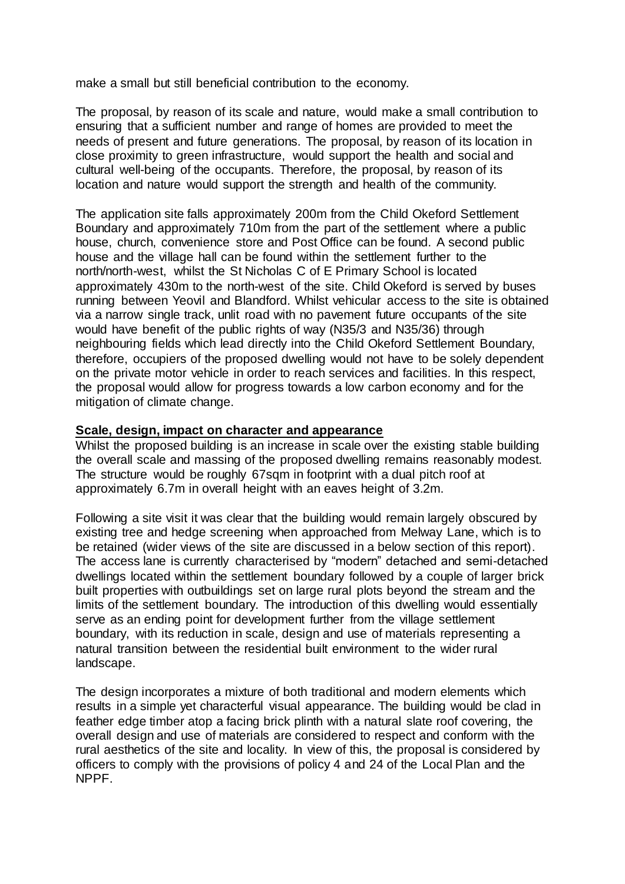make a small but still beneficial contribution to the economy.

The proposal, by reason of its scale and nature, would make a small contribution to ensuring that a sufficient number and range of homes are provided to meet the needs of present and future generations. The proposal, by reason of its location in close proximity to green infrastructure, would support the health and social and cultural well-being of the occupants. Therefore, the proposal, by reason of its location and nature would support the strength and health of the community.

The application site falls approximately 200m from the Child Okeford Settlement Boundary and approximately 710m from the part of the settlement where a public house, church, convenience store and Post Office can be found. A second public house and the village hall can be found within the settlement further to the north/north-west, whilst the St Nicholas C of E Primary School is located approximately 430m to the north-west of the site. Child Okeford is served by buses running between Yeovil and Blandford. Whilst vehicular access to the site is obtained via a narrow single track, unlit road with no pavement future occupants of the site would have benefit of the public rights of way (N35/3 and N35/36) through neighbouring fields which lead directly into the Child Okeford Settlement Boundary, therefore, occupiers of the proposed dwelling would not have to be solely dependent on the private motor vehicle in order to reach services and facilities. In this respect, the proposal would allow for progress towards a low carbon economy and for the mitigation of climate change.

#### **Scale, design, impact on character and appearance**

Whilst the proposed building is an increase in scale over the existing stable building the overall scale and massing of the proposed dwelling remains reasonably modest. The structure would be roughly 67sqm in footprint with a dual pitch roof at approximately 6.7m in overall height with an eaves height of 3.2m.

Following a site visit it was clear that the building would remain largely obscured by existing tree and hedge screening when approached from Melway Lane, which is to be retained (wider views of the site are discussed in a below section of this report). The access lane is currently characterised by "modern" detached and semi-detached dwellings located within the settlement boundary followed by a couple of larger brick built properties with outbuildings set on large rural plots beyond the stream and the limits of the settlement boundary. The introduction of this dwelling would essentially serve as an ending point for development further from the village settlement boundary, with its reduction in scale, design and use of materials representing a natural transition between the residential built environment to the wider rural landscape.

The design incorporates a mixture of both traditional and modern elements which results in a simple yet characterful visual appearance. The building would be clad in feather edge timber atop a facing brick plinth with a natural slate roof covering, the overall design and use of materials are considered to respect and conform with the rural aesthetics of the site and locality. In view of this, the proposal is considered by officers to comply with the provisions of policy 4 and 24 of the Local Plan and the NPPF.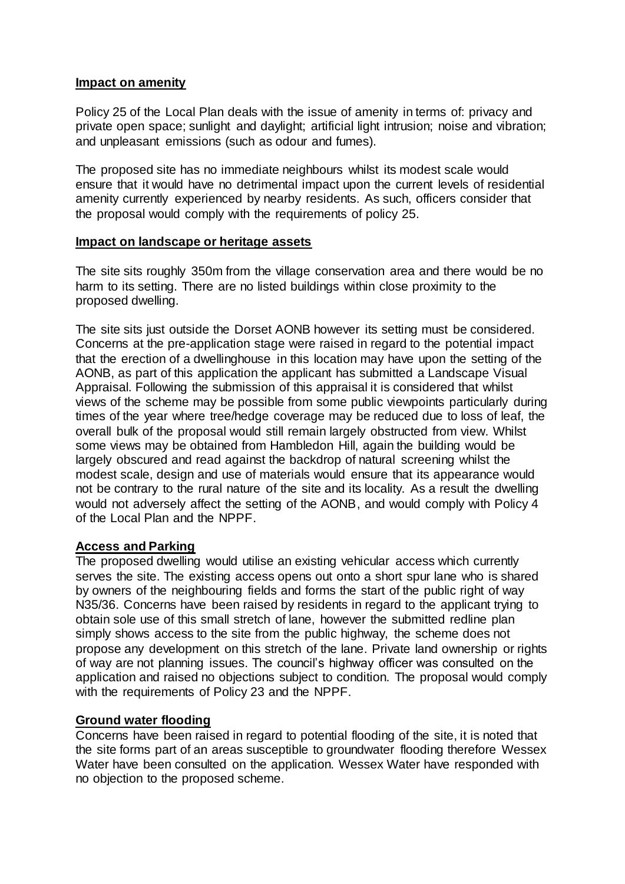#### **Impact on amenity**

Policy 25 of the Local Plan deals with the issue of amenity in terms of: privacy and private open space; sunlight and daylight; artificial light intrusion; noise and vibration; and unpleasant emissions (such as odour and fumes).

The proposed site has no immediate neighbours whilst its modest scale would ensure that it would have no detrimental impact upon the current levels of residential amenity currently experienced by nearby residents. As such, officers consider that the proposal would comply with the requirements of policy 25.

#### **Impact on landscape or heritage assets**

The site sits roughly 350m from the village conservation area and there would be no harm to its setting. There are no listed buildings within close proximity to the proposed dwelling.

The site sits just outside the Dorset AONB however its setting must be considered. Concerns at the pre-application stage were raised in regard to the potential impact that the erection of a dwellinghouse in this location may have upon the setting of the AONB, as part of this application the applicant has submitted a Landscape Visual Appraisal. Following the submission of this appraisal it is considered that whilst views of the scheme may be possible from some public viewpoints particularly during times of the year where tree/hedge coverage may be reduced due to loss of leaf, the overall bulk of the proposal would still remain largely obstructed from view. Whilst some views may be obtained from Hambledon Hill, again the building would be largely obscured and read against the backdrop of natural screening whilst the modest scale, design and use of materials would ensure that its appearance would not be contrary to the rural nature of the site and its locality. As a result the dwelling would not adversely affect the setting of the AONB, and would comply with Policy 4 of the Local Plan and the NPPF.

#### **Access and Parking**

The proposed dwelling would utilise an existing vehicular access which currently serves the site. The existing access opens out onto a short spur lane who is shared by owners of the neighbouring fields and forms the start of the public right of way N35/36. Concerns have been raised by residents in regard to the applicant trying to obtain sole use of this small stretch of lane, however the submitted redline plan simply shows access to the site from the public highway, the scheme does not propose any development on this stretch of the lane. Private land ownership or rights of way are not planning issues. The council's highway officer was consulted on the application and raised no objections subject to condition. The proposal would comply with the requirements of Policy 23 and the NPPF.

#### **Ground water flooding**

Concerns have been raised in regard to potential flooding of the site, it is noted that the site forms part of an areas susceptible to groundwater flooding therefore Wessex Water have been consulted on the application. Wessex Water have responded with no objection to the proposed scheme.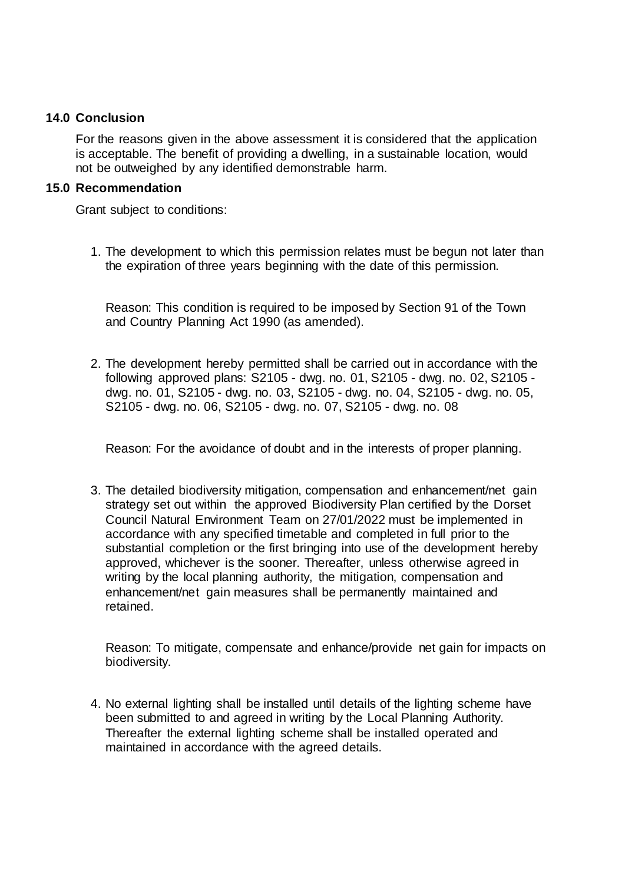#### **14.0 Conclusion**

For the reasons given in the above assessment it is considered that the application is acceptable. The benefit of providing a dwelling, in a sustainable location, would not be outweighed by any identified demonstrable harm.

#### **15.0 Recommendation**

Grant subject to conditions:

1. The development to which this permission relates must be begun not later than the expiration of three years beginning with the date of this permission.

Reason: This condition is required to be imposed by Section 91 of the Town and Country Planning Act 1990 (as amended).

2. The development hereby permitted shall be carried out in accordance with the following approved plans: S2105 - dwg. no. 01, S2105 - dwg. no. 02, S2105 dwg. no. 01, S2105 - dwg. no. 03, S2105 - dwg. no. 04, S2105 - dwg. no. 05, S2105 - dwg. no. 06, S2105 - dwg. no. 07, S2105 - dwg. no. 08

Reason: For the avoidance of doubt and in the interests of proper planning.

3. The detailed biodiversity mitigation, compensation and enhancement/net gain strategy set out within the approved Biodiversity Plan certified by the Dorset Council Natural Environment Team on 27/01/2022 must be implemented in accordance with any specified timetable and completed in full prior to the substantial completion or the first bringing into use of the development hereby approved, whichever is the sooner. Thereafter, unless otherwise agreed in writing by the local planning authority, the mitigation, compensation and enhancement/net gain measures shall be permanently maintained and retained.

Reason: To mitigate, compensate and enhance/provide net gain for impacts on biodiversity.

4. No external lighting shall be installed until details of the lighting scheme have been submitted to and agreed in writing by the Local Planning Authority. Thereafter the external lighting scheme shall be installed operated and maintained in accordance with the agreed details.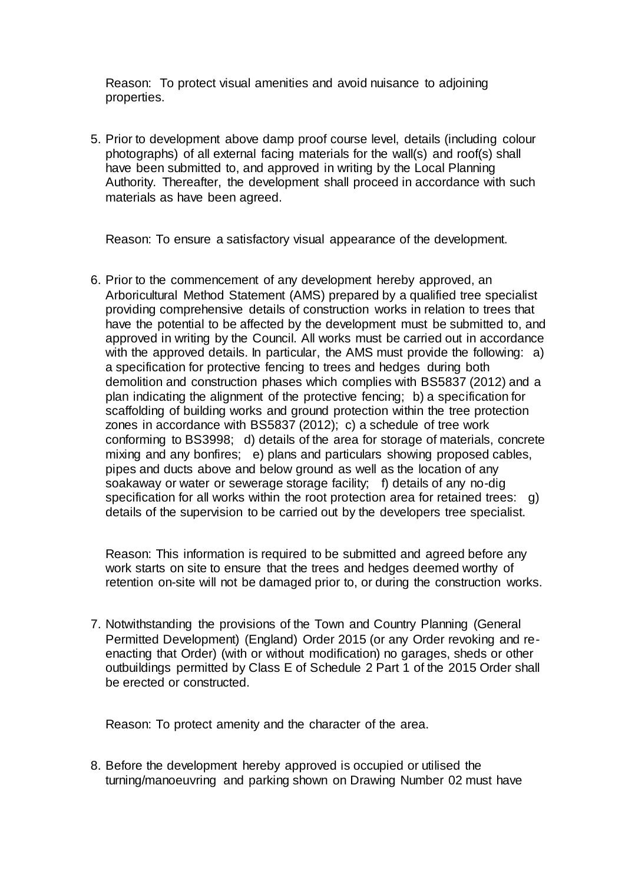Reason: To protect visual amenities and avoid nuisance to adjoining properties.

5. Prior to development above damp proof course level, details (including colour photographs) of all external facing materials for the wall(s) and roof(s) shall have been submitted to, and approved in writing by the Local Planning Authority. Thereafter, the development shall proceed in accordance with such materials as have been agreed.

Reason: To ensure a satisfactory visual appearance of the development.

6. Prior to the commencement of any development hereby approved, an Arboricultural Method Statement (AMS) prepared by a qualified tree specialist providing comprehensive details of construction works in relation to trees that have the potential to be affected by the development must be submitted to, and approved in writing by the Council. All works must be carried out in accordance with the approved details. In particular, the AMS must provide the following: a) a specification for protective fencing to trees and hedges during both demolition and construction phases which complies with BS5837 (2012) and a plan indicating the alignment of the protective fencing; b) a specification for scaffolding of building works and ground protection within the tree protection zones in accordance with BS5837 (2012); c) a schedule of tree work conforming to BS3998; d) details of the area for storage of materials, concrete mixing and any bonfires; e) plans and particulars showing proposed cables, pipes and ducts above and below ground as well as the location of any soakaway or water or sewerage storage facility; f) details of any no-dig specification for all works within the root protection area for retained trees: g) details of the supervision to be carried out by the developers tree specialist.

Reason: This information is required to be submitted and agreed before any work starts on site to ensure that the trees and hedges deemed worthy of retention on-site will not be damaged prior to, or during the construction works.

7. Notwithstanding the provisions of the Town and Country Planning (General Permitted Development) (England) Order 2015 (or any Order revoking and reenacting that Order) (with or without modification) no garages, sheds or other outbuildings permitted by Class E of Schedule 2 Part 1 of the 2015 Order shall be erected or constructed.

Reason: To protect amenity and the character of the area.

8. Before the development hereby approved is occupied or utilised the turning/manoeuvring and parking shown on Drawing Number 02 must have